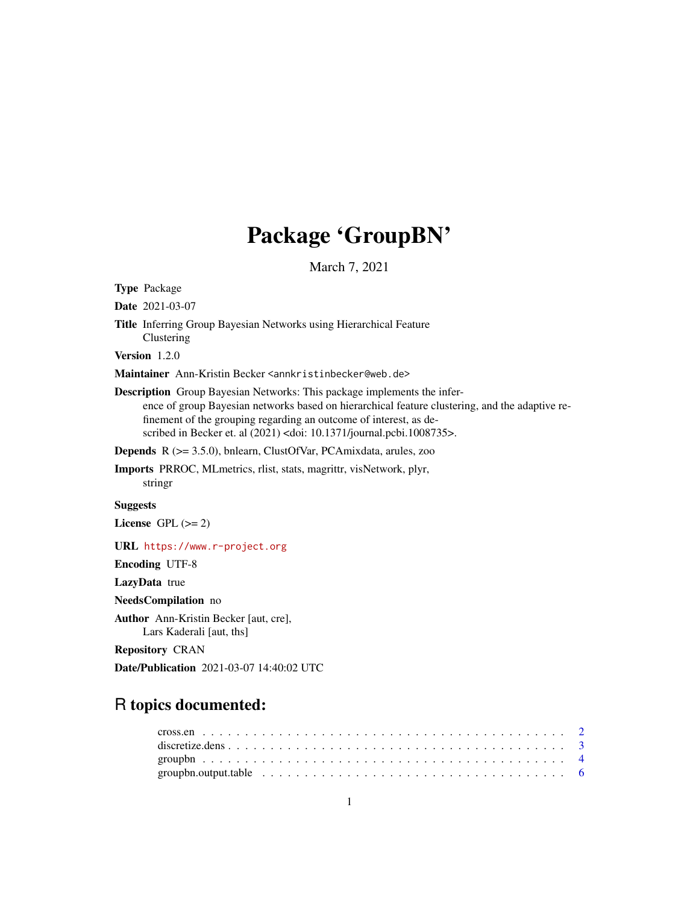# Package 'GroupBN'

March 7, 2021

Type Package

Date 2021-03-07

Title Inferring Group Bayesian Networks using Hierarchical Feature Clustering

Version 1.2.0

Maintainer Ann-Kristin Becker <annkristinbecker@web.de>

Description Group Bayesian Networks: This package implements the inference of group Bayesian networks based on hierarchical feature clustering, and the adaptive refinement of the grouping regarding an outcome of interest, as described in Becker et. al (2021) <doi: 10.1371/journal.pcbi.1008735>.

Depends R (>= 3.5.0), bnlearn, ClustOfVar, PCAmixdata, arules, zoo

Imports PRROC, MLmetrics, rlist, stats, magrittr, visNetwork, plyr, stringr

# Suggests

License GPL  $(>= 2)$ 

URL <https://www.r-project.org>

Encoding UTF-8

LazyData true

NeedsCompilation no

Author Ann-Kristin Becker [aut, cre],

Lars Kaderali [aut, ths]

Repository CRAN

Date/Publication 2021-03-07 14:40:02 UTC

# R topics documented: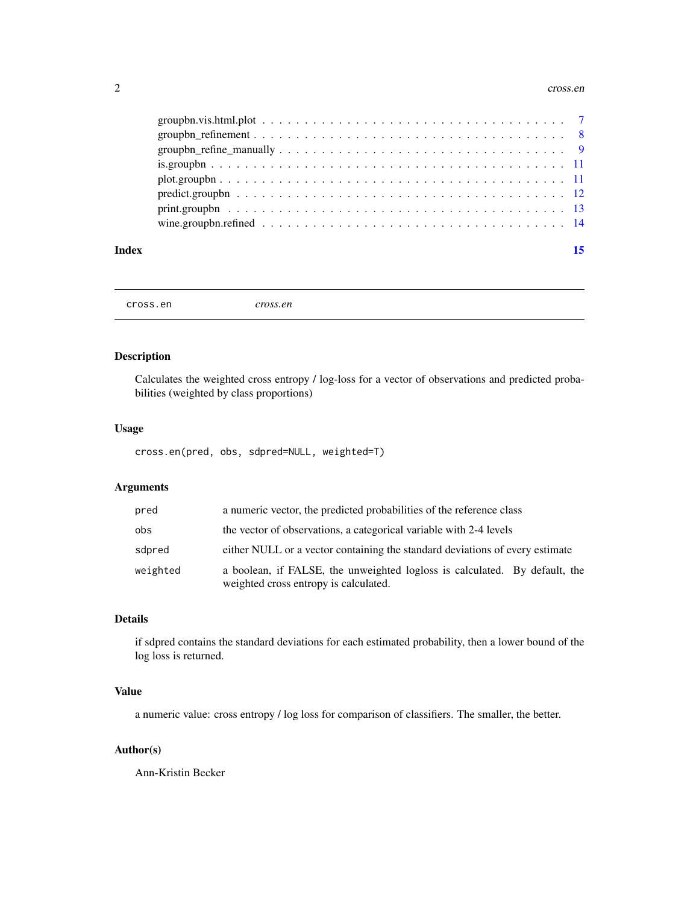#### <span id="page-1-0"></span>2 cross.en

cross.en *cross.en*

# Description

Calculates the weighted cross entropy / log-loss for a vector of observations and predicted probabilities (weighted by class proportions)

# Usage

cross.en(pred, obs, sdpred=NULL, weighted=T)

# Arguments

| pred     | a numeric vector, the predicted probabilities of the reference class                                                |
|----------|---------------------------------------------------------------------------------------------------------------------|
| obs      | the vector of observations, a categorical variable with 2-4 levels                                                  |
| sdpred   | either NULL or a vector containing the standard deviations of every estimate                                        |
| weighted | a boolean, if FALSE, the unweighted logloss is calculated. By default, the<br>weighted cross entropy is calculated. |

# Details

if sdpred contains the standard deviations for each estimated probability, then a lower bound of the log loss is returned.

# Value

a numeric value: cross entropy / log loss for comparison of classifiers. The smaller, the better.

# Author(s)

Ann-Kristin Becker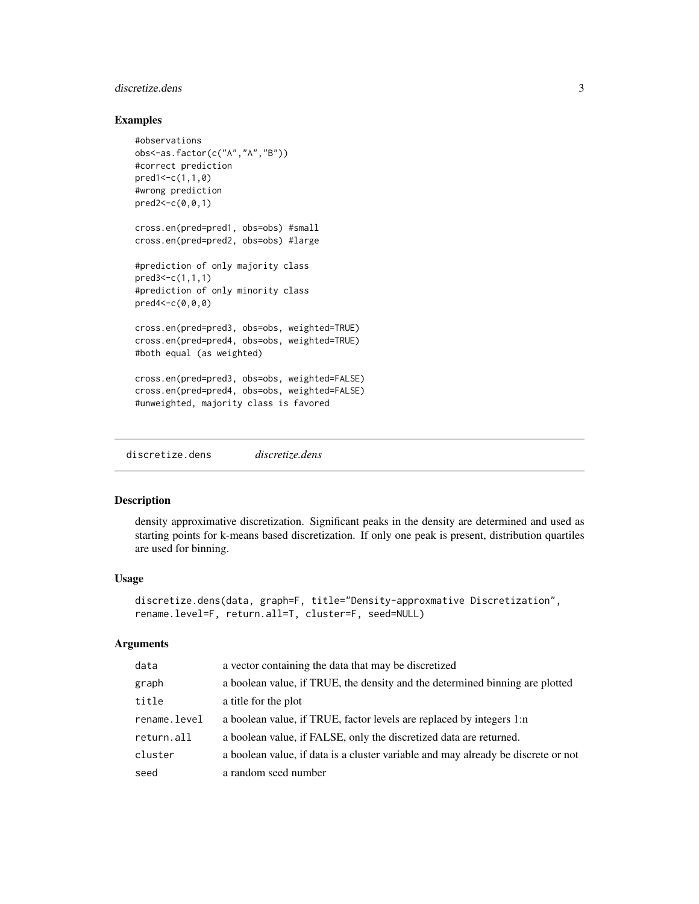# <span id="page-2-0"></span>discretize.dens 3

# Examples

```
#observations
obs<-as.factor(c("A","A","B"))
#correct prediction
pred1<-c(1,1,0)
#wrong prediction
pred2<-c(0,0,1)
cross.en(pred=pred1, obs=obs) #small
cross.en(pred=pred2, obs=obs) #large
#prediction of only majority class
pred3<-c(1,1,1)
#prediction of only minority class
pred4<-c(0,0,0)
cross.en(pred=pred3, obs=obs, weighted=TRUE)
cross.en(pred=pred4, obs=obs, weighted=TRUE)
#both equal (as weighted)
cross.en(pred=pred3, obs=obs, weighted=FALSE)
cross.en(pred=pred4, obs=obs, weighted=FALSE)
#unweighted, majority class is favored
```
discretize.dens *discretize.dens*

#### Description

density approximative discretization. Significant peaks in the density are determined and used as starting points for k-means based discretization. If only one peak is present, distribution quartiles are used for binning.

#### Usage

```
discretize.dens(data, graph=F, title="Density-approxmative Discretization",
rename.level=F, return.all=T, cluster=F, seed=NULL)
```
#### Arguments

| data         | a vector containing the data that may be discretized                              |
|--------------|-----------------------------------------------------------------------------------|
| graph        | a boolean value, if TRUE, the density and the determined binning are plotted      |
| title        | a title for the plot                                                              |
| rename.level | a boolean value, if TRUE, factor levels are replaced by integers 1:n              |
| return.all   | a boolean value, if FALSE, only the discretized data are returned.                |
| cluster      | a boolean value, if data is a cluster variable and may already be discrete or not |
| seed         | a random seed number                                                              |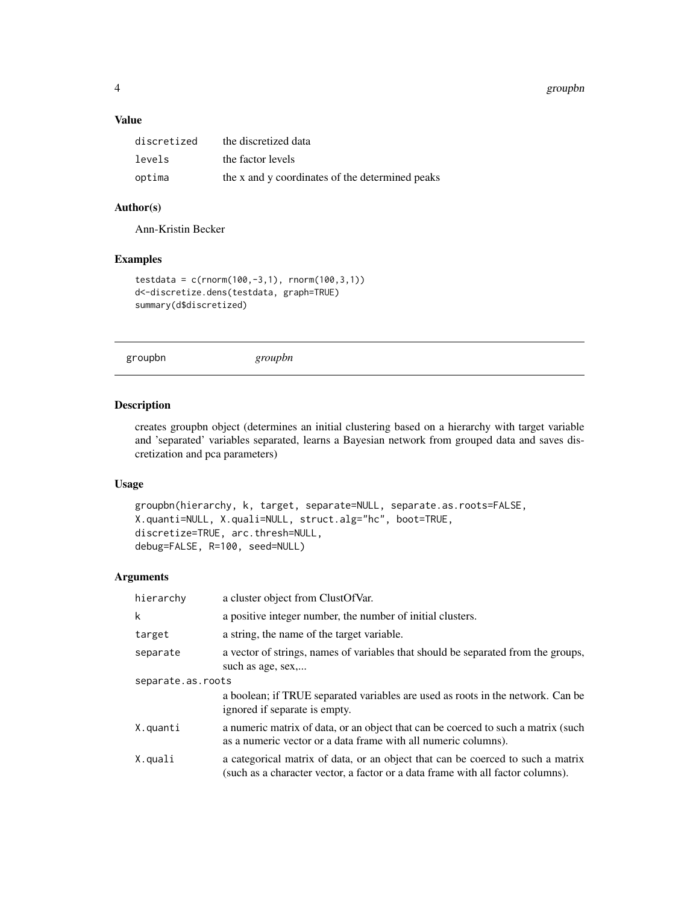#### <span id="page-3-0"></span>4 groupbn and the state of the state of the state of the state of the state of the state of the state of the state of the state of the state of the state of the state of the state of the state of the state of the state of

# Value

| discretized | the discretized data                            |
|-------------|-------------------------------------------------|
| levels      | the factor levels                               |
| optima      | the x and y coordinates of the determined peaks |

# Author(s)

Ann-Kristin Becker

# Examples

```
testdata = c(rnorm(100, -3, 1), rnorm(100, 3, 1))
d<-discretize.dens(testdata, graph=TRUE)
summary(d$discretized)
```

```
groupbn groupbn
```
# Description

creates groupbn object (determines an initial clustering based on a hierarchy with target variable and 'separated' variables separated, learns a Bayesian network from grouped data and saves discretization and pca parameters)

# Usage

```
groupbn(hierarchy, k, target, separate=NULL, separate.as.roots=FALSE,
X.quanti=NULL, X.quali=NULL, struct.alg="hc", boot=TRUE,
discretize=TRUE, arc.thresh=NULL,
debug=FALSE, R=100, seed=NULL)
```
# Arguments

| hierarchy         | a cluster object from ClustOfVar.                                                                                                                                  |
|-------------------|--------------------------------------------------------------------------------------------------------------------------------------------------------------------|
| k                 | a positive integer number, the number of initial clusters.                                                                                                         |
| target            | a string, the name of the target variable.                                                                                                                         |
| separate          | a vector of strings, names of variables that should be separated from the groups,<br>such as age, sex,                                                             |
| separate.as.roots |                                                                                                                                                                    |
|                   | a boolean; if TRUE separated variables are used as roots in the network. Can be<br>ignored if separate is empty.                                                   |
| X.quanti          | a numeric matrix of data, or an object that can be coerced to such a matrix (such<br>as a numeric vector or a data frame with all numeric columns).                |
| X.quali           | a categorical matrix of data, or an object that can be coerced to such a matrix<br>(such as a character vector, a factor or a data frame with all factor columns). |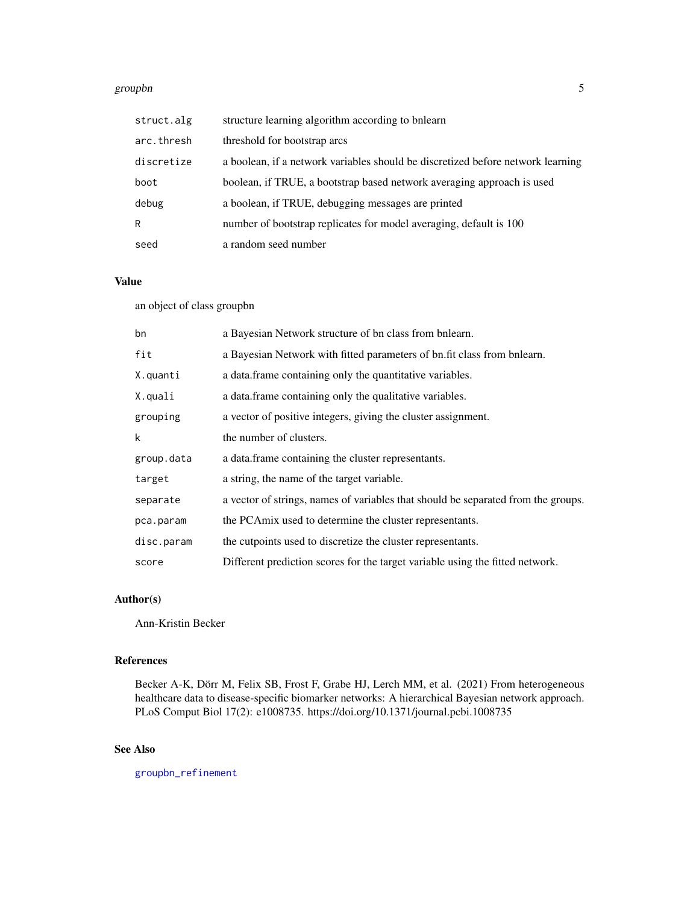#### <span id="page-4-0"></span>groupbn 5000 to 1000 to 1000 to 1000 to 1000 to 1000 to 1000 to 1000 to 1000 to 1000 to 1000 to 1000 to 1000 to 1000 to 1000 to 1000 to 1000 to 1000 to 1000 to 1000 to 1000 to 1000 to 1000 to 1000 to 1000 to 1000 to 1000 t

| struct.alg | structure learning algorithm according to bnlearn                               |
|------------|---------------------------------------------------------------------------------|
| arc.thresh | threshold for bootstrap arcs                                                    |
| discretize | a boolean, if a network variables should be discretized before network learning |
| boot       | boolean, if TRUE, a bootstrap based network averaging approach is used          |
| debug      | a boolean, if TRUE, debugging messages are printed                              |
| R          | number of bootstrap replicates for model averaging, default is 100              |
| seed       | a random seed number                                                            |

# Value

an object of class groupbn

| bn         | a Bayesian Network structure of bn class from bnlearn.                            |
|------------|-----------------------------------------------------------------------------------|
| fit        | a Bayesian Network with fitted parameters of bn.fit class from bnlearn.           |
| X.quanti   | a data frame containing only the quantitative variables.                          |
| X.quali    | a data. frame containing only the qualitative variables.                          |
| grouping   | a vector of positive integers, giving the cluster assignment.                     |
| k          | the number of clusters.                                                           |
| group.data | a data frame containing the cluster representants.                                |
| target     | a string, the name of the target variable.                                        |
| separate   | a vector of strings, names of variables that should be separated from the groups. |
| pca.param  | the PCA mix used to determine the cluster representants.                          |
| disc.param | the cutpoints used to discretize the cluster representants.                       |
| score      | Different prediction scores for the target variable using the fitted network.     |

# Author(s)

Ann-Kristin Becker

# References

Becker A-K, Dörr M, Felix SB, Frost F, Grabe HJ, Lerch MM, et al. (2021) From heterogeneous healthcare data to disease-specific biomarker networks: A hierarchical Bayesian network approach. PLoS Comput Biol 17(2): e1008735. https://doi.org/10.1371/journal.pcbi.1008735

# See Also

[groupbn\\_refinement](#page-7-1)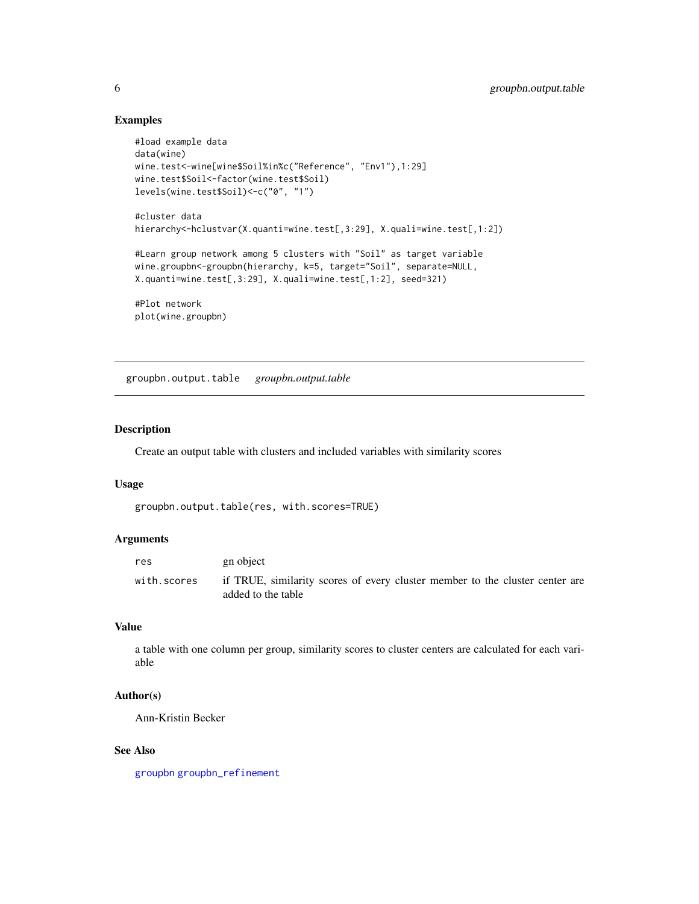# Examples

```
#load example data
data(wine)
wine.test<-wine[wine$Soil%in%c("Reference", "Env1"),1:29]
wine.test$Soil<-factor(wine.test$Soil)
levels(wine.test$Soil)<-c("0", "1")
#cluster data
hierarchy<-hclustvar(X.quanti=wine.test[,3:29], X.quali=wine.test[,1:2])
#Learn group network among 5 clusters with "Soil" as target variable
wine.groupbn<-groupbn(hierarchy, k=5, target="Soil", separate=NULL,
X.quanti=wine.test[,3:29], X.quali=wine.test[,1:2], seed=321)
#Plot network
plot(wine.groupbn)
```
<span id="page-5-1"></span>groupbn.output.table *groupbn.output.table*

### Description

Create an output table with clusters and included variables with similarity scores

#### Usage

```
groupbn.output.table(res, with.scores=TRUE)
```
#### Arguments

| res         | gn object                                                                                          |
|-------------|----------------------------------------------------------------------------------------------------|
| with.scores | if TRUE, similarity scores of every cluster member to the cluster center are<br>added to the table |

### Value

a table with one column per group, similarity scores to cluster centers are calculated for each variable

#### Author(s)

Ann-Kristin Becker

#### See Also

[groupbn](#page-3-1) [groupbn\\_refinement](#page-7-1)

<span id="page-5-0"></span>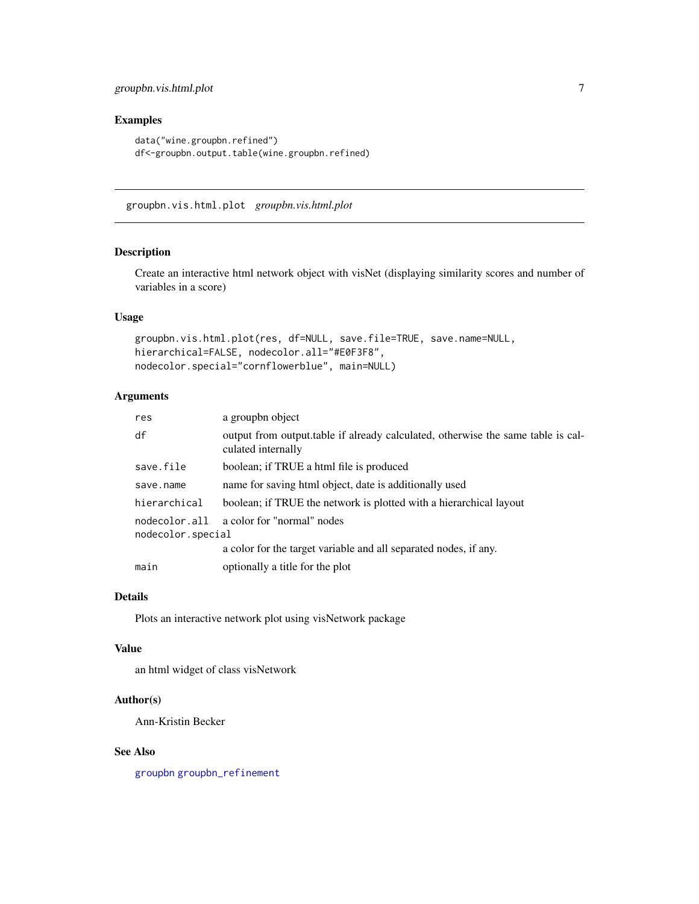# <span id="page-6-0"></span>groupbn.vis.html.plot 7

# Examples

```
data("wine.groupbn.refined")
df<-groupbn.output.table(wine.groupbn.refined)
```
groupbn.vis.html.plot *groupbn.vis.html.plot*

# Description

Create an interactive html network object with visNet (displaying similarity scores and number of variables in a score)

# Usage

```
groupbn.vis.html.plot(res, df=NULL, save.file=TRUE, save.name=NULL,
hierarchical=FALSE, nodecolor.all="#E0F3F8",
nodecolor.special="cornflowerblue", main=NULL)
```
# Arguments

| res                                | a groupbn object                                                                                       |
|------------------------------------|--------------------------------------------------------------------------------------------------------|
| df                                 | output from output table if already calculated, otherwise the same table is cal-<br>culated internally |
| save.file                          | boolean; if TRUE a html file is produced                                                               |
| save.name                          | name for saving html object, date is additionally used                                                 |
| hierarchical                       | boolean; if TRUE the network is plotted with a hierarchical layout                                     |
| nodecolor.all<br>nodecolor.special | a color for "normal" nodes                                                                             |
|                                    | a color for the target variable and all separated nodes, if any.                                       |
| main                               | optionally a title for the plot                                                                        |

#### Details

Plots an interactive network plot using visNetwork package

#### Value

an html widget of class visNetwork

# Author(s)

Ann-Kristin Becker

# See Also

[groupbn](#page-3-1) [groupbn\\_refinement](#page-7-1)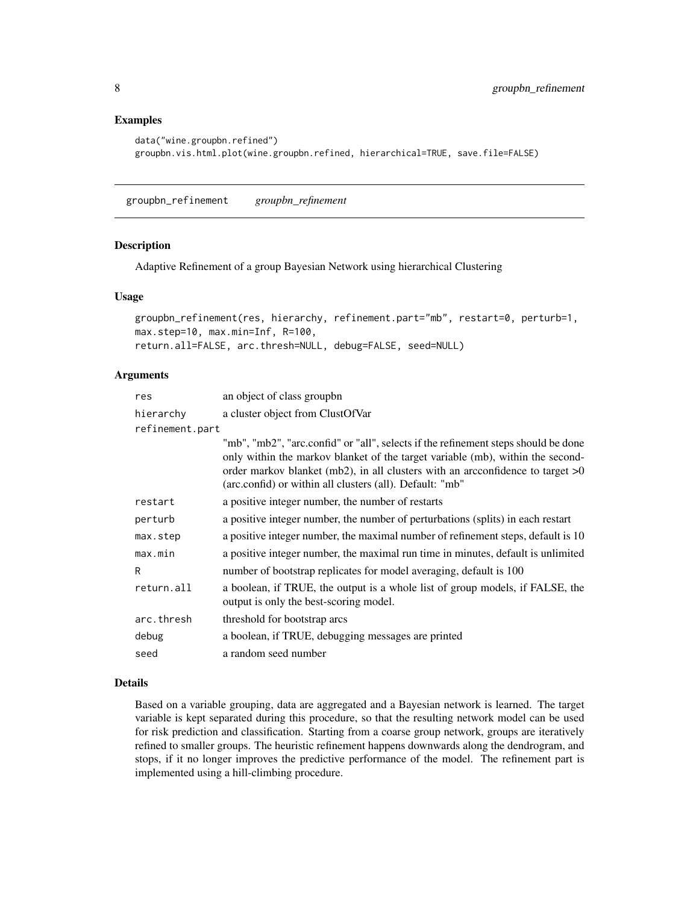# Examples

```
data("wine.groupbn.refined")
groupbn.vis.html.plot(wine.groupbn.refined, hierarchical=TRUE, save.file=FALSE)
```
<span id="page-7-1"></span>groupbn\_refinement *groupbn\_refinement*

# Description

Adaptive Refinement of a group Bayesian Network using hierarchical Clustering

#### Usage

```
groupbn_refinement(res, hierarchy, refinement.part="mb", restart=0, perturb=1,
max.step=10, max.min=Inf, R=100,
return.all=FALSE, arc.thresh=NULL, debug=FALSE, seed=NULL)
```
# Arguments

| res             | an object of class groupbn                                                                                                                                                                                                                                                                                           |
|-----------------|----------------------------------------------------------------------------------------------------------------------------------------------------------------------------------------------------------------------------------------------------------------------------------------------------------------------|
| hierarchy       | a cluster object from ClustOfVar                                                                                                                                                                                                                                                                                     |
| refinement.part |                                                                                                                                                                                                                                                                                                                      |
|                 | "mb", "mb2", "arc.confid" or "all", selects if the refinement steps should be done<br>only within the markov blanket of the target variable (mb), within the second-<br>order markov blanket (mb2), in all clusters with an arcconfidence to target $>0$<br>(arc.confid) or within all clusters (all). Default: "mb" |
| restart         | a positive integer number, the number of restarts                                                                                                                                                                                                                                                                    |
| perturb         | a positive integer number, the number of perturbations (splits) in each restart                                                                                                                                                                                                                                      |
| max.step        | a positive integer number, the maximal number of refinement steps, default is 10                                                                                                                                                                                                                                     |
| max.min         | a positive integer number, the maximal run time in minutes, default is unlimited                                                                                                                                                                                                                                     |
| R               | number of bootstrap replicates for model averaging, default is 100                                                                                                                                                                                                                                                   |
| return.all      | a boolean, if TRUE, the output is a whole list of group models, if FALSE, the<br>output is only the best-scoring model.                                                                                                                                                                                              |
| arc.thresh      | threshold for bootstrap arcs                                                                                                                                                                                                                                                                                         |
| debug           | a boolean, if TRUE, debugging messages are printed                                                                                                                                                                                                                                                                   |
| seed            | a random seed number                                                                                                                                                                                                                                                                                                 |

### Details

Based on a variable grouping, data are aggregated and a Bayesian network is learned. The target variable is kept separated during this procedure, so that the resulting network model can be used for risk prediction and classification. Starting from a coarse group network, groups are iteratively refined to smaller groups. The heuristic refinement happens downwards along the dendrogram, and stops, if it no longer improves the predictive performance of the model. The refinement part is implemented using a hill-climbing procedure.

<span id="page-7-0"></span>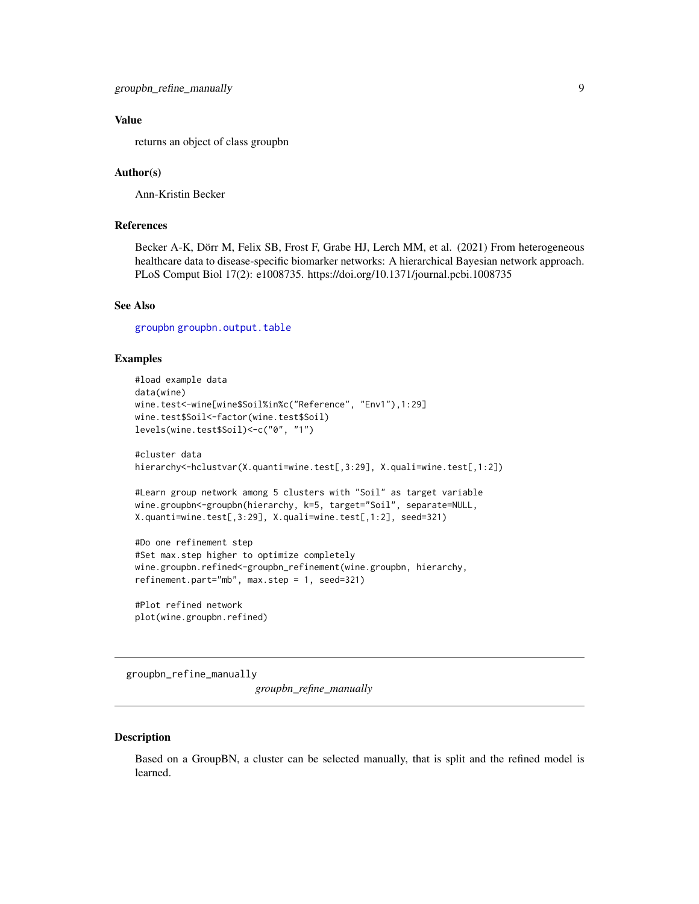# <span id="page-8-0"></span>Value

returns an object of class groupbn

#### Author(s)

Ann-Kristin Becker

#### References

Becker A-K, Dörr M, Felix SB, Frost F, Grabe HJ, Lerch MM, et al. (2021) From heterogeneous healthcare data to disease-specific biomarker networks: A hierarchical Bayesian network approach. PLoS Comput Biol 17(2): e1008735. https://doi.org/10.1371/journal.pcbi.1008735

#### See Also

[groupbn](#page-3-1) [groupbn.output.table](#page-5-1)

#### Examples

```
#load example data
data(wine)
wine.test<-wine[wine$Soil%in%c("Reference", "Env1"),1:29]
wine.test$Soil<-factor(wine.test$Soil)
levels(wine.test$Soil)<-c("0", "1")
#cluster data
hierarchy<-hclustvar(X.quanti=wine.test[,3:29], X.quali=wine.test[,1:2])
#Learn group network among 5 clusters with "Soil" as target variable
wine.groupbn<-groupbn(hierarchy, k=5, target="Soil", separate=NULL,
X.quanti=wine.test[,3:29], X.quali=wine.test[,1:2], seed=321)
#Do one refinement step
#Set max.step higher to optimize completely
wine.groupbn.refined<-groupbn_refinement(wine.groupbn, hierarchy,
refinement.part="mb", max.step = 1, seed=321)
#Plot refined network
```
plot(wine.groupbn.refined)

groupbn\_refine\_manually

*groupbn\_refine\_manually*

#### Description

Based on a GroupBN, a cluster can be selected manually, that is split and the refined model is learned.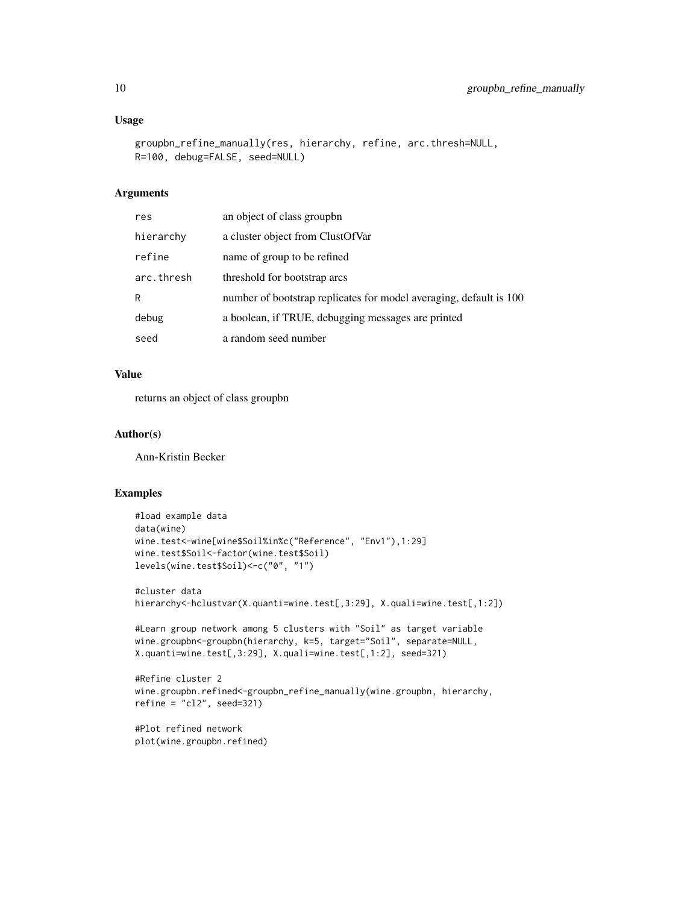# Usage

```
groupbn_refine_manually(res, hierarchy, refine, arc.thresh=NULL,
R=100, debug=FALSE, seed=NULL)
```
#### Arguments

| res        | an object of class groupbn                                         |
|------------|--------------------------------------------------------------------|
| hierarchy  | a cluster object from ClustOfVar                                   |
| refine     | name of group to be refined                                        |
| arc.thresh | threshold for bootstrap arcs                                       |
| R          | number of bootstrap replicates for model averaging, default is 100 |
| debug      | a boolean, if TRUE, debugging messages are printed                 |
| seed       | a random seed number                                               |

# Value

returns an object of class groupbn

# Author(s)

Ann-Kristin Becker

#### Examples

```
#load example data
data(wine)
wine.test<-wine[wine$Soil%in%c("Reference", "Env1"),1:29]
wine.test$Soil<-factor(wine.test$Soil)
levels(wine.test$Soil)<-c("0", "1")
#cluster data
hierarchy<-hclustvar(X.quanti=wine.test[,3:29], X.quali=wine.test[,1:2])
#Learn group network among 5 clusters with "Soil" as target variable
wine.groupbn<-groupbn(hierarchy, k=5, target="Soil", separate=NULL,
X.quanti=wine.test[,3:29], X.quali=wine.test[,1:2], seed=321)
#Refine cluster 2
wine.groupbn.refined<-groupbn_refine_manually(wine.groupbn, hierarchy,
refine = "c12", seed=321)
```
#Plot refined network plot(wine.groupbn.refined)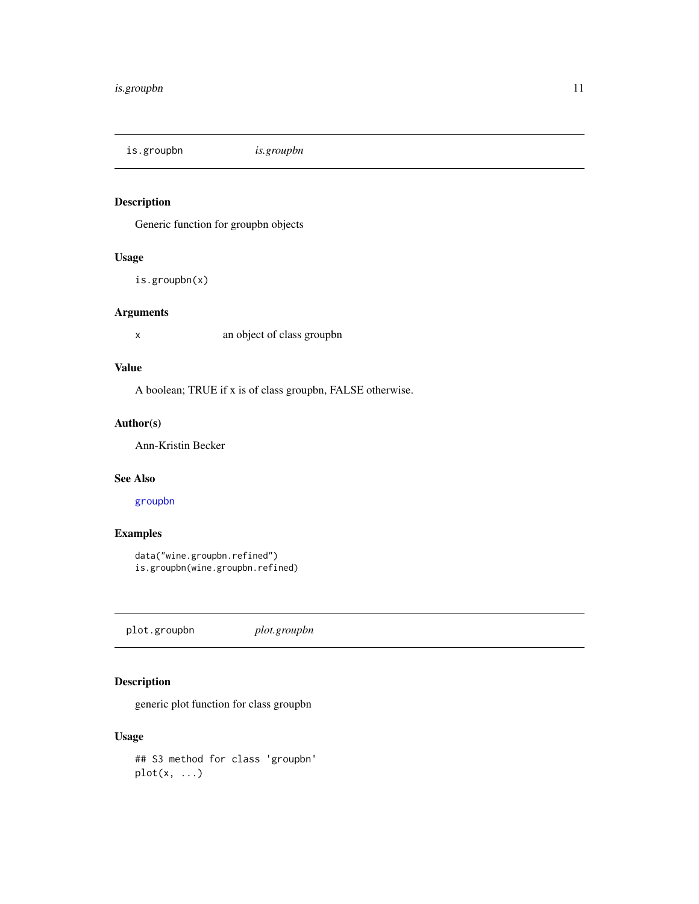<span id="page-10-0"></span>is.groupbn *is.groupbn*

# Description

Generic function for groupbn objects

# Usage

is.groupbn(x)

# Arguments

x an object of class groupbn

# Value

A boolean; TRUE if x is of class groupbn, FALSE otherwise.

# Author(s)

Ann-Kristin Becker

# See Also

[groupbn](#page-3-1)

# Examples

```
data("wine.groupbn.refined")
is.groupbn(wine.groupbn.refined)
```
plot.groupbn *plot.groupbn*

# Description

generic plot function for class groupbn

# Usage

## S3 method for class 'groupbn'  $plot(x, \ldots)$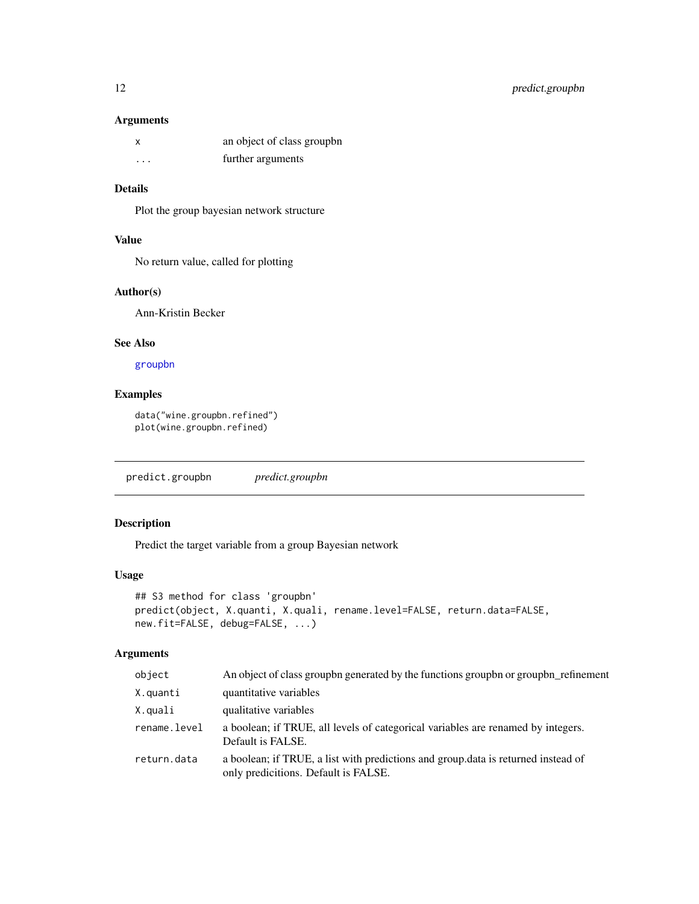#### <span id="page-11-0"></span>Arguments

|   | an object of class groupbn |
|---|----------------------------|
| . | further arguments          |

# Details

Plot the group bayesian network structure

# Value

No return value, called for plotting

#### Author(s)

Ann-Kristin Becker

### See Also

[groupbn](#page-3-1)

# Examples

data("wine.groupbn.refined") plot(wine.groupbn.refined)

predict.groupbn *predict.groupbn*

# Description

Predict the target variable from a group Bayesian network

#### Usage

```
## S3 method for class 'groupbn'
predict(object, X.quanti, X.quali, rename.level=FALSE, return.data=FALSE,
new.fit=FALSE, debug=FALSE, ...)
```
# Arguments

| object       | An object of class group n generated by the functions group bn or group bn_refinement                                     |
|--------------|---------------------------------------------------------------------------------------------------------------------------|
| X.quanti     | quantitative variables                                                                                                    |
| X.quali      | qualitative variables                                                                                                     |
| rename.level | a boolean; if TRUE, all levels of categorical variables are renamed by integers.<br>Default is FALSE.                     |
| return.data  | a boolean; if TRUE, a list with predictions and group data is returned instead of<br>only predicitions. Default is FALSE. |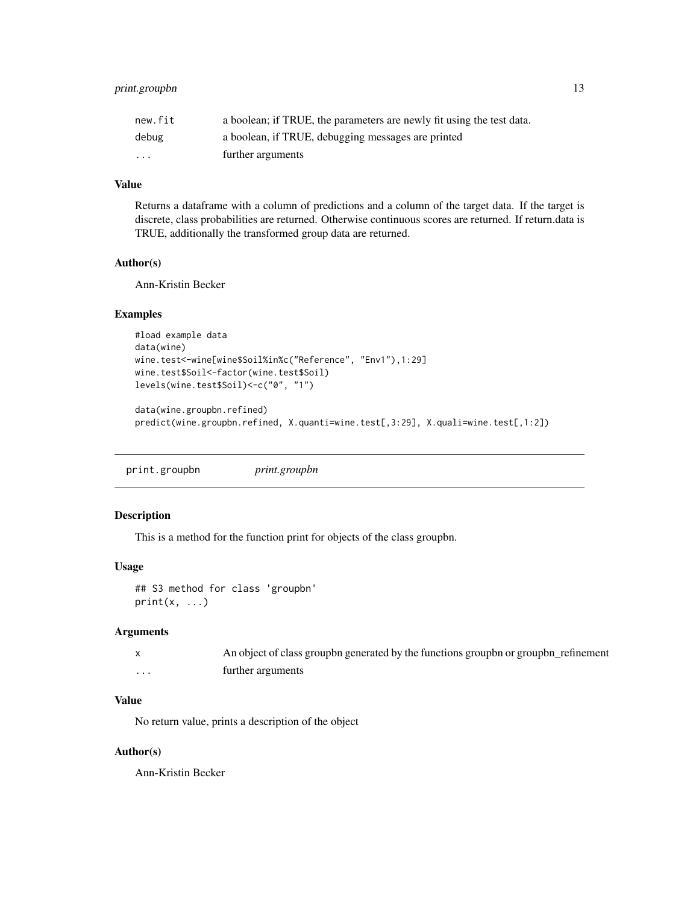# <span id="page-12-0"></span>print.groupbn 13

| new.fit                 | a boolean; if TRUE, the parameters are newly fit using the test data. |
|-------------------------|-----------------------------------------------------------------------|
| debug                   | a boolean, if TRUE, debugging messages are printed                    |
| $\cdot$ $\cdot$ $\cdot$ | further arguments                                                     |

# Value

Returns a dataframe with a column of predictions and a column of the target data. If the target is discrete, class probabilities are returned. Otherwise continuous scores are returned. If return.data is TRUE, additionally the transformed group data are returned.

# Author(s)

Ann-Kristin Becker

# Examples

```
#load example data
data(wine)
wine.test<-wine[wine$Soil%in%c("Reference", "Env1"),1:29]
wine.test$Soil<-factor(wine.test$Soil)
levels(wine.test$Soil)<-c("0", "1")
```

```
data(wine.groupbn.refined)
predict(wine.groupbn.refined, X.quanti=wine.test[,3:29], X.quali=wine.test[,1:2])
```

| print.groupbn | <i>print.groupbn</i> |
|---------------|----------------------|
|               |                      |

# Description

This is a method for the function print for objects of the class groupbn.

#### Usage

```
## S3 method for class 'groupbn'
print(x, \ldots)
```
#### Arguments

|   | An object of class groupbn generated by the functions groupbn or groupbn_refinement |
|---|-------------------------------------------------------------------------------------|
| . | further arguments                                                                   |

# Value

No return value, prints a description of the object

#### Author(s)

Ann-Kristin Becker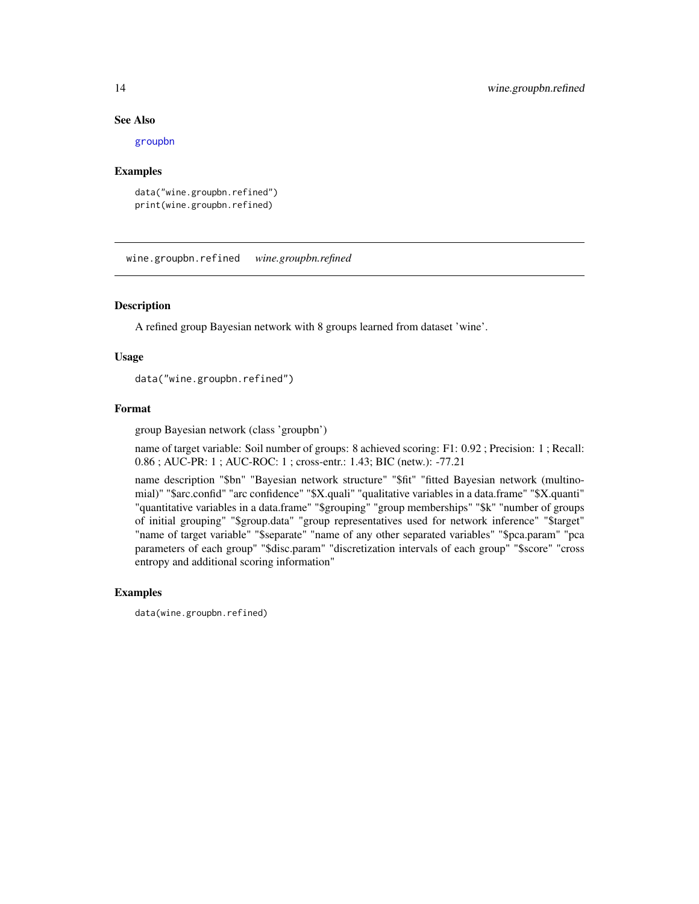#### See Also

[groupbn](#page-3-1)

#### Examples

```
data("wine.groupbn.refined")
print(wine.groupbn.refined)
```
wine.groupbn.refined *wine.groupbn.refined*

#### Description

A refined group Bayesian network with 8 groups learned from dataset 'wine'.

### Usage

data("wine.groupbn.refined")

# Format

group Bayesian network (class 'groupbn')

name of target variable: Soil number of groups: 8 achieved scoring: F1: 0.92 ; Precision: 1 ; Recall: 0.86 ; AUC-PR: 1 ; AUC-ROC: 1 ; cross-entr.: 1.43; BIC (netw.): -77.21

name description "\$bn" "Bayesian network structure" "\$fit" "fitted Bayesian network (multinomial)" "\$arc.confid" "arc confidence" "\$X.quali" "qualitative variables in a data.frame" "\$X.quanti" "quantitative variables in a data.frame" "\$grouping" "group memberships" "\$k" "number of groups of initial grouping" "\$group.data" "group representatives used for network inference" "\$target" "name of target variable" "\$separate" "name of any other separated variables" "\$pca.param" "pca parameters of each group" "\$disc.param" "discretization intervals of each group" "\$score" "cross entropy and additional scoring information"

#### Examples

data(wine.groupbn.refined)

<span id="page-13-0"></span>